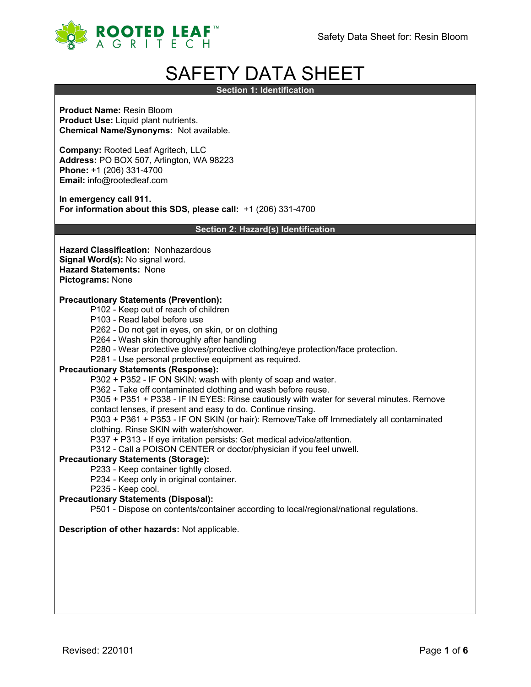

# SAFETY DATA SHEET

**Section 1: Identification**

**Product Name:** Resin Bloom **Product Use:** Liquid plant nutrients. **Chemical Name/Synonyms:** Not available.

**Company:** Rooted Leaf Agritech, LLC **Address:** PO BOX 507, Arlington, WA 98223 **Phone:** +1 (206) 331-4700 **Email:** info@rootedleaf.com

**In emergency call 911. For information about this SDS, please call:** +1 (206) 331-4700

**Section 2: Hazard(s) Identification**

**Hazard Classification:** Nonhazardous **Signal Word(s):** No signal word. **Hazard Statements:** None **Pictograms:** None

## **Precautionary Statements (Prevention):**

- P102 Keep out of reach of children
- P103 Read label before use
- P262 Do not get in eyes, on skin, or on clothing
- P264 Wash skin thoroughly after handling
- P280 Wear protective gloves/protective clothing/eye protection/face protection.
- P281 Use personal protective equipment as required.

## **Precautionary Statements (Response):**

P302 + P352 - IF ON SKIN: wash with plenty of soap and water.

P362 - Take off contaminated clothing and wash before reuse.

P305 + P351 + P338 - IF IN EYES: Rinse cautiously with water for several minutes. Remove

contact lenses, if present and easy to do. Continue rinsing.

P303 + P361 + P353 - IF ON SKIN (or hair): Remove/Take off Immediately all contaminated clothing. Rinse SKIN with water/shower.

P337 + P313 - If eye irritation persists: Get medical advice/attention.

P312 - Call a POISON CENTER or doctor/physician if you feel unwell.

## **Precautionary Statements (Storage):**

P233 - Keep container tightly closed.

- P234 Keep only in original container.
- P235 Keep cool.

## **Precautionary Statements (Disposal):**

P501 - Dispose on contents/container according to local/regional/national regulations.

## **Description of other hazards:** Not applicable.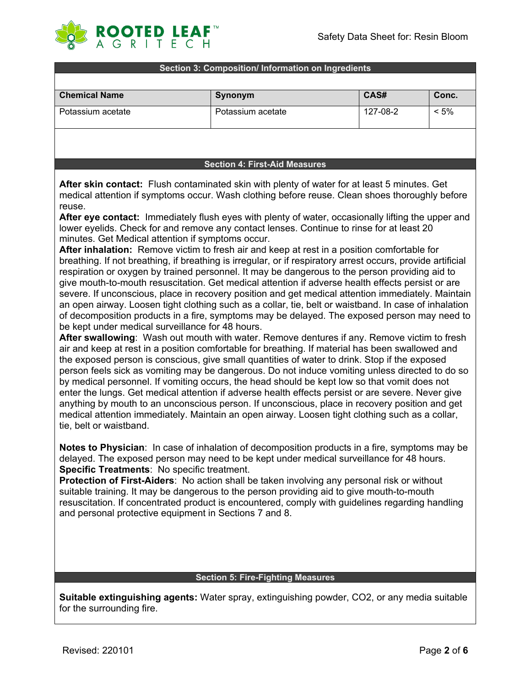

#### **Section 3: Composition/ Information on Ingredients**

| <b>Chemical Name</b> | Synonym           | CAS#     | Conc.   |
|----------------------|-------------------|----------|---------|
| Potassium acetate    | Potassium acetate | 127-08-2 | $< 5\%$ |
|                      |                   |          |         |

**Section 4: First-Aid Measures**

**After skin contact:** Flush contaminated skin with plenty of water for at least 5 minutes. Get medical attention if symptoms occur. Wash clothing before reuse. Clean shoes thoroughly before reuse.

**After eye contact:** Immediately flush eyes with plenty of water, occasionally lifting the upper and lower eyelids. Check for and remove any contact lenses. Continue to rinse for at least 20 minutes. Get Medical attention if symptoms occur.

**After inhalation:** Remove victim to fresh air and keep at rest in a position comfortable for breathing. If not breathing, if breathing is irregular, or if respiratory arrest occurs, provide artificial respiration or oxygen by trained personnel. It may be dangerous to the person providing aid to give mouth-to-mouth resuscitation. Get medical attention if adverse health effects persist or are severe. If unconscious, place in recovery position and get medical attention immediately. Maintain an open airway. Loosen tight clothing such as a collar, tie, belt or waistband. In case of inhalation of decomposition products in a fire, symptoms may be delayed. The exposed person may need to be kept under medical surveillance for 48 hours.

**After swallowing**: Wash out mouth with water. Remove dentures if any. Remove victim to fresh air and keep at rest in a position comfortable for breathing. If material has been swallowed and the exposed person is conscious, give small quantities of water to drink. Stop if the exposed person feels sick as vomiting may be dangerous. Do not induce vomiting unless directed to do so by medical personnel. If vomiting occurs, the head should be kept low so that vomit does not enter the lungs. Get medical attention if adverse health effects persist or are severe. Never give anything by mouth to an unconscious person. If unconscious, place in recovery position and get medical attention immediately. Maintain an open airway. Loosen tight clothing such as a collar, tie, belt or waistband.

**Notes to Physician**: In case of inhalation of decomposition products in a fire, symptoms may be delayed. The exposed person may need to be kept under medical surveillance for 48 hours. **Specific Treatments**: No specific treatment.

**Protection of First-Aiders**: No action shall be taken involving any personal risk or without suitable training. It may be dangerous to the person providing aid to give mouth-to-mouth resuscitation. If concentrated product is encountered, comply with guidelines regarding handling and personal protective equipment in Sections 7 and 8.

#### **Section 5: Fire-Fighting Measures**

**Suitable extinguishing agents:** Water spray, extinguishing powder, CO2, or any media suitable for the surrounding fire.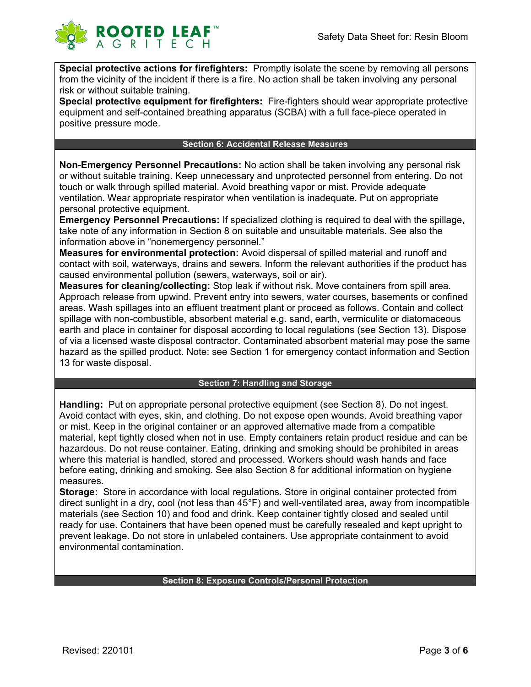

**Special protective actions for firefighters:** Promptly isolate the scene by removing all persons from the vicinity of the incident if there is a fire. No action shall be taken involving any personal risk or without suitable training.

**Special protective equipment for firefighters:** Fire-fighters should wear appropriate protective equipment and self-contained breathing apparatus (SCBA) with a full face-piece operated in positive pressure mode.

#### **Section 6: Accidental Release Measures**

**Non-Emergency Personnel Precautions:** No action shall be taken involving any personal risk or without suitable training. Keep unnecessary and unprotected personnel from entering. Do not touch or walk through spilled material. Avoid breathing vapor or mist. Provide adequate ventilation. Wear appropriate respirator when ventilation is inadequate. Put on appropriate personal protective equipment.

**Emergency Personnel Precautions:** If specialized clothing is required to deal with the spillage, take note of any information in Section 8 on suitable and unsuitable materials. See also the information above in "nonemergency personnel."

**Measures for environmental protection:** Avoid dispersal of spilled material and runoff and contact with soil, waterways, drains and sewers. Inform the relevant authorities if the product has caused environmental pollution (sewers, waterways, soil or air).

**Measures for cleaning/collecting:** Stop leak if without risk. Move containers from spill area. Approach release from upwind. Prevent entry into sewers, water courses, basements or confined areas. Wash spillages into an effluent treatment plant or proceed as follows. Contain and collect spillage with non-combustible, absorbent material e.g. sand, earth, vermiculite or diatomaceous earth and place in container for disposal according to local regulations (see Section 13). Dispose of via a licensed waste disposal contractor. Contaminated absorbent material may pose the same hazard as the spilled product. Note: see Section 1 for emergency contact information and Section 13 for waste disposal.

# **Section 7: Handling and Storage**

**Handling:** Put on appropriate personal protective equipment (see Section 8). Do not ingest. Avoid contact with eyes, skin, and clothing. Do not expose open wounds. Avoid breathing vapor or mist. Keep in the original container or an approved alternative made from a compatible material, kept tightly closed when not in use. Empty containers retain product residue and can be hazardous. Do not reuse container. Eating, drinking and smoking should be prohibited in areas where this material is handled, stored and processed. Workers should wash hands and face before eating, drinking and smoking. See also Section 8 for additional information on hygiene measures.

**Storage:** Store in accordance with local regulations. Store in original container protected from direct sunlight in a dry, cool (not less than 45°F) and well-ventilated area, away from incompatible materials (see Section 10) and food and drink. Keep container tightly closed and sealed until ready for use. Containers that have been opened must be carefully resealed and kept upright to prevent leakage. Do not store in unlabeled containers. Use appropriate containment to avoid environmental contamination.

# **Section 8: Exposure Controls/Personal Protection**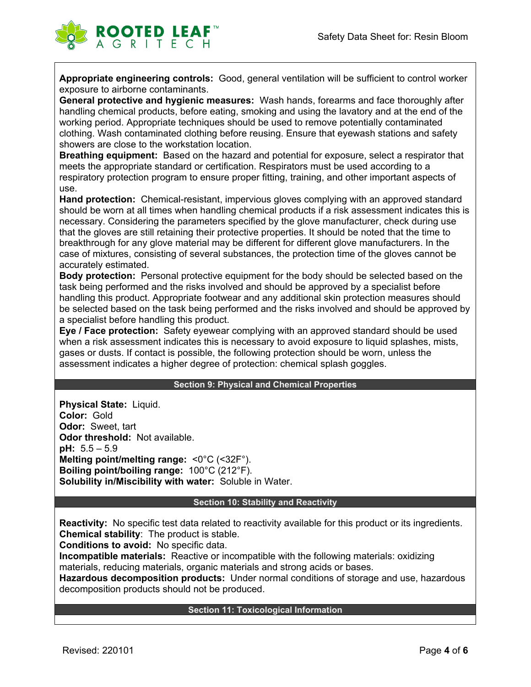

**Appropriate engineering controls:** Good, general ventilation will be sufficient to control worker exposure to airborne contaminants.

**General protective and hygienic measures:** Wash hands, forearms and face thoroughly after handling chemical products, before eating, smoking and using the lavatory and at the end of the working period. Appropriate techniques should be used to remove potentially contaminated clothing. Wash contaminated clothing before reusing. Ensure that eyewash stations and safety showers are close to the workstation location.

**Breathing equipment:** Based on the hazard and potential for exposure, select a respirator that meets the appropriate standard or certification. Respirators must be used according to a respiratory protection program to ensure proper fitting, training, and other important aspects of use.

**Hand protection:** Chemical-resistant, impervious gloves complying with an approved standard should be worn at all times when handling chemical products if a risk assessment indicates this is necessary. Considering the parameters specified by the glove manufacturer, check during use that the gloves are still retaining their protective properties. It should be noted that the time to breakthrough for any glove material may be different for different glove manufacturers. In the case of mixtures, consisting of several substances, the protection time of the gloves cannot be accurately estimated.

**Body protection:** Personal protective equipment for the body should be selected based on the task being performed and the risks involved and should be approved by a specialist before handling this product. Appropriate footwear and any additional skin protection measures should be selected based on the task being performed and the risks involved and should be approved by a specialist before handling this product.

**Eye / Face protection:** Safety eyewear complying with an approved standard should be used when a risk assessment indicates this is necessary to avoid exposure to liquid splashes, mists, gases or dusts. If contact is possible, the following protection should be worn, unless the assessment indicates a higher degree of protection: chemical splash goggles.

## **Section 9: Physical and Chemical Properties**

**Physical State:** Liquid. **Color:** Gold **Odor:** Sweet, tart **Odor threshold:** Not available. **pH:** 5.5 – 5.9 **Melting point/melting range:** <0°C (<32F°). **Boiling point/boiling range:** 100°C (212°F). **Solubility in/Miscibility with water:** Soluble in Water.

#### **Section 10: Stability and Reactivity**

**Reactivity:** No specific test data related to reactivity available for this product or its ingredients. **Chemical stability**: The product is stable.

**Conditions to avoid:** No specific data.

**Incompatible materials:** Reactive or incompatible with the following materials: oxidizing materials, reducing materials, organic materials and strong acids or bases.

**Hazardous decomposition products:** Under normal conditions of storage and use, hazardous decomposition products should not be produced.

## **Section 11: Toxicological Information**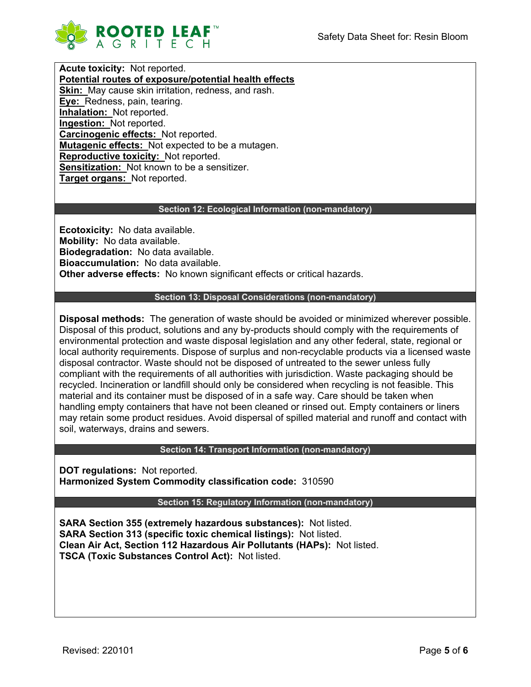

**Acute toxicity:** Not reported. **Potential routes of exposure/potential health effects Skin:** May cause skin irritation, redness, and rash. **Eye:** Redness, pain, tearing. **Inhalation:** Not reported. **Ingestion:** Not reported. **Carcinogenic effects:** Not reported. **Mutagenic effects:** Not expected to be a mutagen. **Reproductive toxicity:** Not reported. **Sensitization:** Not known to be a sensitizer. **Target organs:** Not reported.

# **Section 12: Ecological Information (non-mandatory)**

**Ecotoxicity:** No data available. **Mobility:** No data available. **Biodegradation:** No data available. **Bioaccumulation:** No data available. **Other adverse effects:** No known significant effects or critical hazards.

## **Section 13: Disposal Considerations (non-mandatory)**

**Disposal methods:** The generation of waste should be avoided or minimized wherever possible. Disposal of this product, solutions and any by-products should comply with the requirements of environmental protection and waste disposal legislation and any other federal, state, regional or local authority requirements. Dispose of surplus and non-recyclable products via a licensed waste disposal contractor. Waste should not be disposed of untreated to the sewer unless fully compliant with the requirements of all authorities with jurisdiction. Waste packaging should be recycled. Incineration or landfill should only be considered when recycling is not feasible. This material and its container must be disposed of in a safe way. Care should be taken when handling empty containers that have not been cleaned or rinsed out. Empty containers or liners may retain some product residues. Avoid dispersal of spilled material and runoff and contact with soil, waterways, drains and sewers.

## **Section 14: Transport Information (non-mandatory)**

**DOT regulations:** Not reported. **Harmonized System Commodity classification code:** 310590

**Section 15: Regulatory Information (non-mandatory)**

**SARA Section 355 (extremely hazardous substances):** Not listed. **SARA Section 313 (specific toxic chemical listings):** Not listed. **Clean Air Act, Section 112 Hazardous Air Pollutants (HAPs):** Not listed. **TSCA (Toxic Substances Control Act):** Not listed.